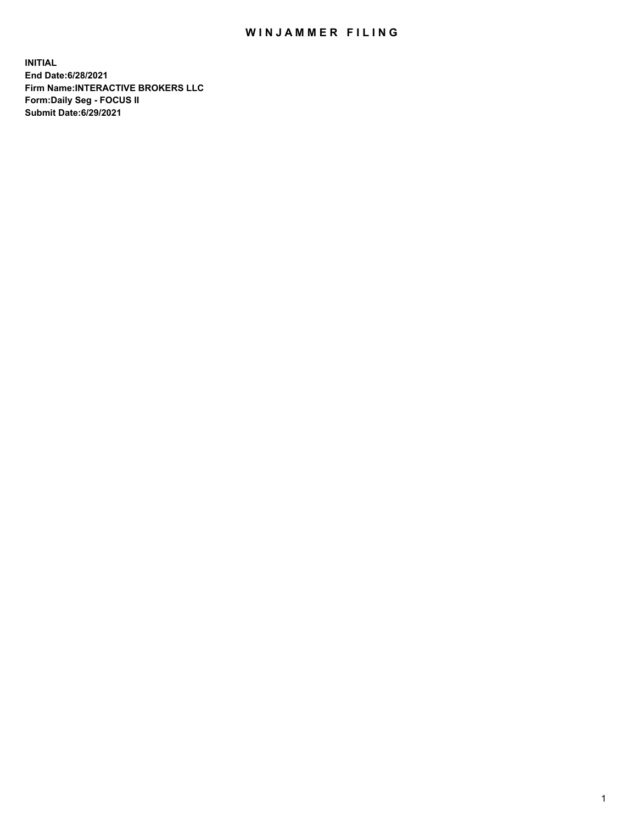## WIN JAMMER FILING

**INITIAL End Date:6/28/2021 Firm Name:INTERACTIVE BROKERS LLC Form:Daily Seg - FOCUS II Submit Date:6/29/2021**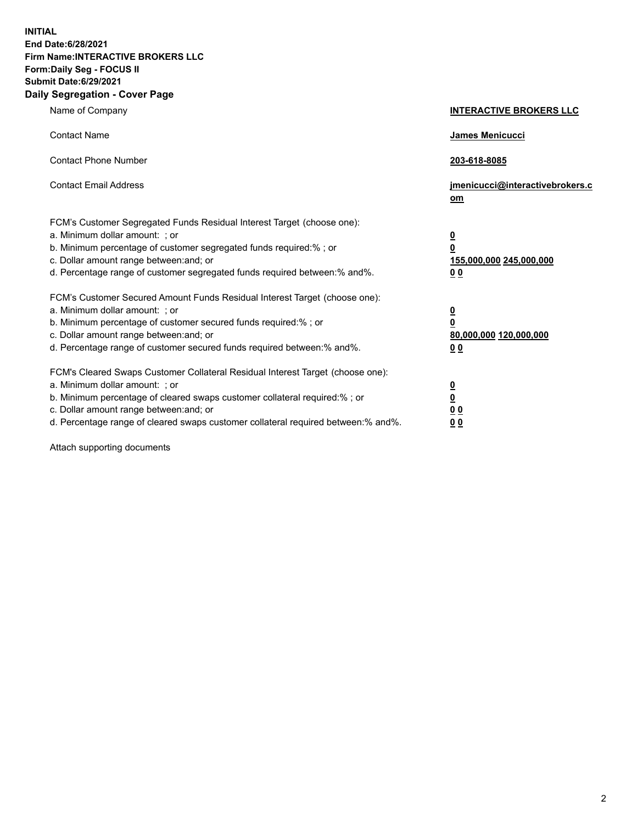**INITIAL End Date:6/28/2021 Firm Name:INTERACTIVE BROKERS LLC Form:Daily Seg - FOCUS II Submit Date:6/29/2021 Daily Segregation - Cover Page**

| Name of Company                                                                                                                                                                                                                                                                                                                | <b>INTERACTIVE BROKERS LLC</b>                                           |  |
|--------------------------------------------------------------------------------------------------------------------------------------------------------------------------------------------------------------------------------------------------------------------------------------------------------------------------------|--------------------------------------------------------------------------|--|
| <b>Contact Name</b>                                                                                                                                                                                                                                                                                                            | James Menicucci                                                          |  |
| <b>Contact Phone Number</b>                                                                                                                                                                                                                                                                                                    | 203-618-8085                                                             |  |
| <b>Contact Email Address</b>                                                                                                                                                                                                                                                                                                   | jmenicucci@interactivebrokers.c<br>om                                    |  |
| FCM's Customer Segregated Funds Residual Interest Target (choose one):<br>a. Minimum dollar amount: ; or<br>b. Minimum percentage of customer segregated funds required:% ; or<br>c. Dollar amount range between: and; or<br>d. Percentage range of customer segregated funds required between: % and %.                       | <u>0</u><br>0<br>155,000,000 245,000,000<br>0 <sub>0</sub>               |  |
| FCM's Customer Secured Amount Funds Residual Interest Target (choose one):<br>a. Minimum dollar amount: ; or<br>b. Minimum percentage of customer secured funds required:% ; or<br>c. Dollar amount range between: and; or<br>d. Percentage range of customer secured funds required between:% and%.                           | <u>0</u><br>$\overline{\mathbf{0}}$<br>80,000,000 120,000,000<br>00      |  |
| FCM's Cleared Swaps Customer Collateral Residual Interest Target (choose one):<br>a. Minimum dollar amount: ; or<br>b. Minimum percentage of cleared swaps customer collateral required:% ; or<br>c. Dollar amount range between: and; or<br>d. Percentage range of cleared swaps customer collateral required between:% and%. | <u>0</u><br>$\underline{\mathbf{0}}$<br>0 <sub>0</sub><br>0 <sub>0</sub> |  |

Attach supporting documents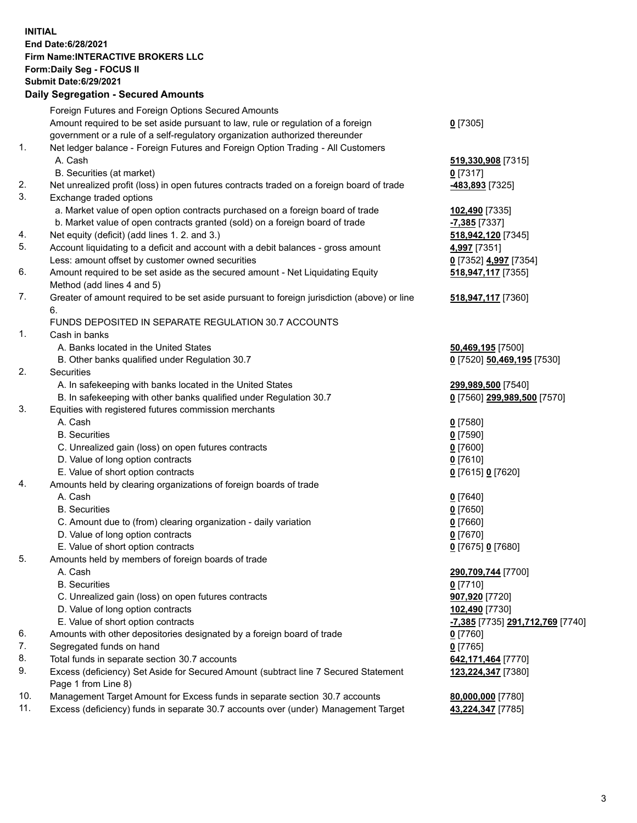**INITIAL End Date:6/28/2021 Firm Name:INTERACTIVE BROKERS LLC Form:Daily Seg - FOCUS II Submit Date:6/29/2021 Daily Segregation - Secured Amounts**

## Foreign Futures and Foreign Options Secured Amounts Amount required to be set aside pursuant to law, rule or regulation of a foreign government or a rule of a self-regulatory organization authorized thereunder **0** [7305] 1. Net ledger balance - Foreign Futures and Foreign Option Trading - All Customers A. Cash **519,330,908** [7315] B. Securities (at market) **0** [7317] 2. Net unrealized profit (loss) in open futures contracts traded on a foreign board of trade **-483,893** [7325] 3. Exchange traded options a. Market value of open option contracts purchased on a foreign board of trade **102,490** [7335] b. Market value of open contracts granted (sold) on a foreign board of trade **-7,385** [7337] 4. Net equity (deficit) (add lines 1. 2. and 3.) **518,942,120** [7345] 5. Account liquidating to a deficit and account with a debit balances - gross amount **4,997** [7351] Less: amount offset by customer owned securities **0** [7352] **4,997** [7354] 6. Amount required to be set aside as the secured amount - Net Liquidating Equity Method (add lines 4 and 5) **518,947,117** [7355] 7. Greater of amount required to be set aside pursuant to foreign jurisdiction (above) or line 6. **518,947,117** [7360] FUNDS DEPOSITED IN SEPARATE REGULATION 30.7 ACCOUNTS 1. Cash in banks A. Banks located in the United States **50,469,195** [7500] B. Other banks qualified under Regulation 30.7 **0** [7520] **50,469,195** [7530] 2. Securities A. In safekeeping with banks located in the United States **299,989,500** [7540] B. In safekeeping with other banks qualified under Regulation 30.7 **0** [7560] **299,989,500** [7570] 3. Equities with registered futures commission merchants A. Cash **0** [7580] B. Securities **0** [7590] C. Unrealized gain (loss) on open futures contracts **0** [7600] D. Value of long option contracts **0** [7610] E. Value of short option contracts **0** [7615] **0** [7620] 4. Amounts held by clearing organizations of foreign boards of trade A. Cash **0** [7640] B. Securities **0** [7650] C. Amount due to (from) clearing organization - daily variation **0** [7660] D. Value of long option contracts **0** [7670] E. Value of short option contracts **0** [7675] **0** [7680] 5. Amounts held by members of foreign boards of trade A. Cash **290,709,744** [7700] B. Securities **0** [7710] C. Unrealized gain (loss) on open futures contracts **907,920** [7720] D. Value of long option contracts **102,490** [7730] E. Value of short option contracts **-7,385** [7735] **291,712,769** [7740] 6. Amounts with other depositories designated by a foreign board of trade **0** [7760] 7. Segregated funds on hand **0** [7765] 8. Total funds in separate section 30.7 accounts **642,171,464** [7770] 9. Excess (deficiency) Set Aside for Secured Amount (subtract line 7 Secured Statement Page 1 from Line 8) **123,224,347** [7380] 10. Management Target Amount for Excess funds in separate section 30.7 accounts **80,000,000** [7780] 11. Excess (deficiency) funds in separate 30.7 accounts over (under) Management Target **43,224,347** [7785]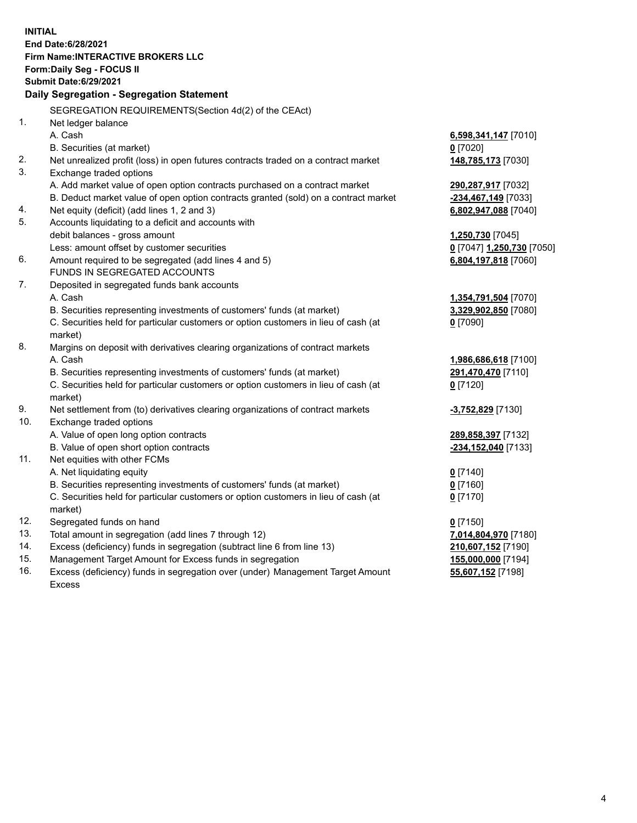**INITIAL End Date:6/28/2021 Firm Name:INTERACTIVE BROKERS LLC Form:Daily Seg - FOCUS II Submit Date:6/29/2021 Daily Segregation - Segregation Statement** SEGREGATION REQUIREMENTS(Section 4d(2) of the CEAct) 1. Net ledger balance A. Cash **6,598,341,147** [7010] B. Securities (at market) **0** [7020] 2. Net unrealized profit (loss) in open futures contracts traded on a contract market **148,785,173** [7030] 3. Exchange traded options A. Add market value of open option contracts purchased on a contract market **290,287,917** [7032] B. Deduct market value of open option contracts granted (sold) on a contract market **-234,467,149** [7033] 4. Net equity (deficit) (add lines 1, 2 and 3) **6,802,947,088** [7040] 5. Accounts liquidating to a deficit and accounts with debit balances - gross amount **1,250,730** [7045] Less: amount offset by customer securities **0** [7047] **1,250,730** [7050] 6. Amount required to be segregated (add lines 4 and 5) **6,804,197,818** [7060] FUNDS IN SEGREGATED ACCOUNTS 7. Deposited in segregated funds bank accounts A. Cash **1,354,791,504** [7070] B. Securities representing investments of customers' funds (at market) **3,329,902,850** [7080] C. Securities held for particular customers or option customers in lieu of cash (at market) **0** [7090] 8. Margins on deposit with derivatives clearing organizations of contract markets A. Cash **1,986,686,618** [7100] B. Securities representing investments of customers' funds (at market) **291,470,470** [7110] C. Securities held for particular customers or option customers in lieu of cash (at market) **0** [7120] 9. Net settlement from (to) derivatives clearing organizations of contract markets **-3,752,829** [7130] 10. Exchange traded options A. Value of open long option contracts **289,858,397** [7132] B. Value of open short option contracts **-234,152,040** [7133] 11. Net equities with other FCMs A. Net liquidating equity **0** [7140] B. Securities representing investments of customers' funds (at market) **0** [7160] C. Securities held for particular customers or option customers in lieu of cash (at market) **0** [7170] 12. Segregated funds on hand **0** [7150] 13. Total amount in segregation (add lines 7 through 12) **7,014,804,970** [7180] 14. Excess (deficiency) funds in segregation (subtract line 6 from line 13) **210,607,152** [7190] 15. Management Target Amount for Excess funds in segregation **155,000,000** [7194]

16. Excess (deficiency) funds in segregation over (under) Management Target Amount Excess

**55,607,152** [7198]